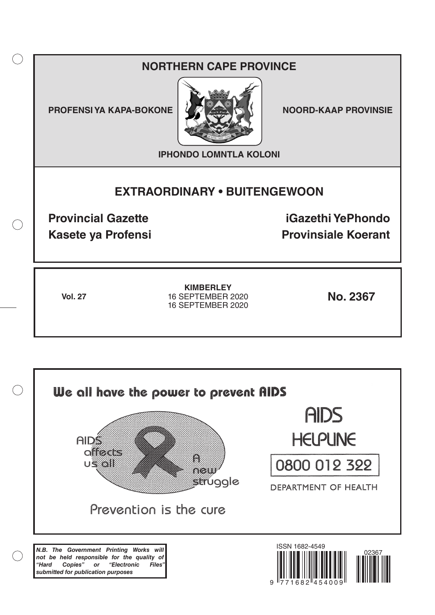# **NORTHERN CAPE PROVINCE**

**PROFENSI YA KAPA-BOKONE NOORD-KAAP PROVINSIE** 

 $($ )



**IPHONDO LOMNTLA KOLONI**

# **EXTRAORDINARY • BUITENGEWOON**

**Provincial Gazette iGazethi YePhondo Kasete ya Profensi Provinsiale Koerant** 

**Vol. 27 No. 2367** 16 SEPTEMBER 2020 **KIMBERLEY** 16 SEPTEMBER 2020

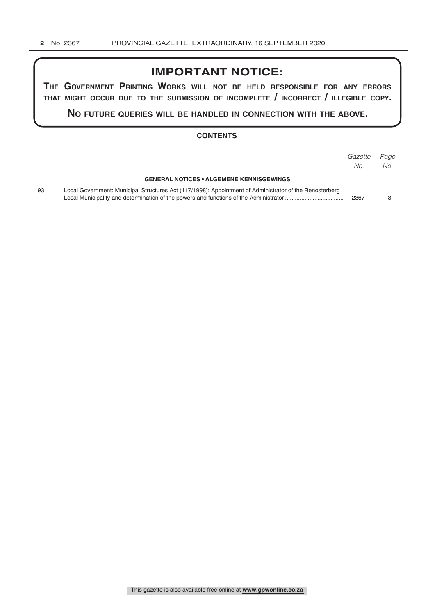## **IMPORTANT NOTICE:**

**The GovernmenT PrinTinG Works Will noT be held resPonsible for any errors ThaT miGhT occur due To The submission of incomPleTe / incorrecT / illeGible coPy.**

**no fuTure queries Will be handled in connecTion WiTh The above.**

### **CONTENTS**

|    |                                                                                                         | Gazette<br>No. | Page<br>No. |
|----|---------------------------------------------------------------------------------------------------------|----------------|-------------|
|    | <b>GENERAL NOTICES • ALGEMENE KENNISGEWINGS</b>                                                         |                |             |
| 93 | Local Government: Municipal Structures Act (117/1998): Appointment of Administrator of the Renosterberg | 2367           |             |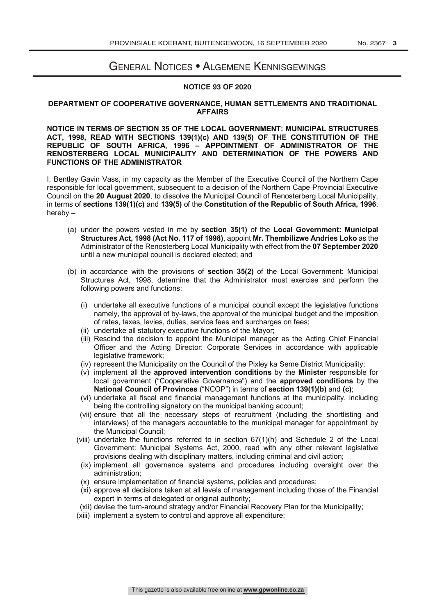## General Notices • Algemene Kennisgewings

### **NOTICE 93 OF 2020**

### **DEPARTMENT OF COOPERATIVE GOVERNANCE, HUMAN SETTLEMENTS AND TRADITIONAL AFFAIRS**

**NOTICE IN TERMS OF SECTION 35 OF THE LOCAL GOVERNMENT: MUNICIPAL STRUCTURES ACT, 1998, READ WITH SECTIONS 139(1)(c) AND 139(5) OF THE CONSTITUTION OF THE REPUBLIC OF SOUTH AFRICA, 1996 – APPOINTMENT OF ADMINISTRATOR OF THE RENOSTERBERG LOCAL MUNICIPALITY AND DETERMINATION OF THE POWERS AND FUNCTIONS OF THE ADMINISTRATOR**

I, Bentley Gavin Vass, in my capacity as the Member of the Executive Council of the Northern Cape responsible for local government, subsequent to a decision of the Northern Cape Provincial Executive Council on the **20 August 2020**, to dissolve the Municipal Council of Renosterberg Local Municipality, in terms of **sections 139(1)(c)** and **139(5)** of the **Constitution of the Republic of South Africa, 1996**, hereby –

- (a) under the powers vested in me by **section 35(1)** of the **Local Government: Municipal Structures Act, 1998 (Act No. 117 of 1998)**, appoint **Mr. Thembilizwe Andries Loko** as the Administrator of the Renosterberg Local Municipality with effect from the **07 September 2020** until a new municipal council is declared elected; and
- (b) in accordance with the provisions of **section 35(2)** of the Local Government: Municipal Structures Act, 1998, determine that the Administrator must exercise and perform the following powers and functions:
	- (i) undertake all executive functions of a municipal council except the legislative functions namely, the approval of by-laws, the approval of the municipal budget and the imposition of rates, taxes, levies, duties, service fees and surcharges on fees;
	- (ii) undertake all statutory executive functions of the Mayor;
	- (iii) Rescind the decision to appoint the Municipal manager as the Acting Chief Financial Officer and the Acting Director: Corporate Services in accordance with applicable legislative framework;
	- (iv) represent the Municipality on the Council of the Pixley ka Seme District Municipality;
	- (v) implement all the **approved intervention conditions** by the **Minister** responsible for local government ("Cooperative Governance") and the **approved conditions** by the **National Council of Provinces** ("NCOP") in terms of **section 139(1)(b)** and **(c)**;
	- (vi) undertake all fiscal and financial management functions at the municipality, including being the controlling signatory on the municipal banking account;
	- (vii) ensure that all the necessary steps of recruitment (including the shortlisting and interviews) of the managers accountable to the municipal manager for appointment by the Municipal Council;
	- (viii) undertake the functions referred to in section 67(1)(h) and Schedule 2 of the Local Government: Municipal Systems Act, 2000, read with any other relevant legislative provisions dealing with disciplinary matters, including criminal and civil action;
	- (ix) implement all governance systems and procedures including oversight over the administration;
	- (x) ensure implementation of financial systems, policies and procedures;
	- (xi) approve all decisions taken at all levels of management including those of the Financial expert in terms of delegated or original authority;
	- (xii) devise the turn-around strategy and/or Financial Recovery Plan for the Municipality;
	- (xiii) implement a system to control and approve all expenditure;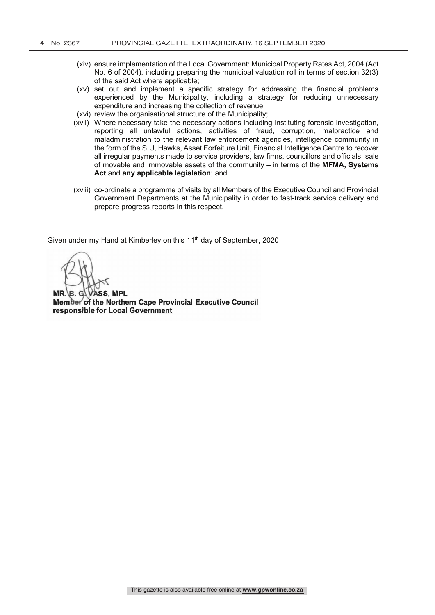- (xiv) ensure implementation of the Local Government: Municipal Property Rates Act, 2004 (Act No. 6 of 2004), including preparing the municipal valuation roll in terms of section 32(3) of the said Act where applicable;
- (xv) set out and implement a specific strategy for addressing the financial problems experienced by the Municipality, including a strategy for reducing unnecessary expenditure and increasing the collection of revenue;
- (xvi) review the organisational structure of the Municipality;
- (xvii) Where necessary take the necessary actions including instituting forensic investigation, reporting all unlawful actions, activities of fraud, corruption, malpractice and maladministration to the relevant law enforcement agencies, intelligence community in the form of the SIU, Hawks, Asset Forfeiture Unit, Financial Intelligence Centre to recover all irregular payments made to service providers, law firms, councillors and officials, sale of movable and immovable assets of the community – in terms of the **MFMA, Systems Act** and **any applicable legislation**; and
- (xviii) co-ordinate a programme of visits by all Members of the Executive Council and Provincial Government Departments at the Municipality in order to fast-track service delivery and prepare progress reports in this respect.

Given under my Hand at Kimberley on this 11<sup>th</sup> day of September, 2020

MR. B. G. WASS, MPL

**Member of the Northern Cape Provincial Executive Council Member of the Northern Council Executive Council responsible for Local Government**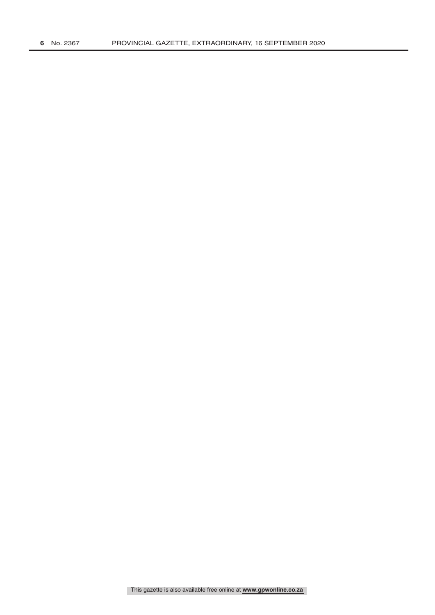This gazette is also available free online at **www.gpwonline.co.za**